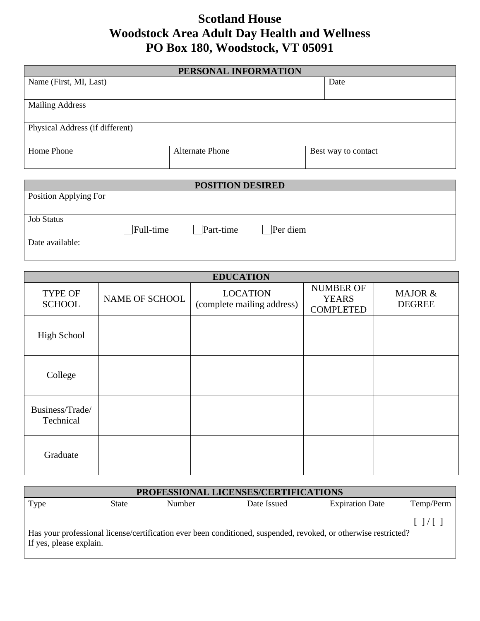## **Scotland House Woodstock Area Adult Day Health and Wellness PO Box 180, Woodstock, VT 05091**

| PERSONAL INFORMATION            |                        |                     |  |  |  |  |  |
|---------------------------------|------------------------|---------------------|--|--|--|--|--|
| Name (First, MI, Last)          |                        | Date                |  |  |  |  |  |
|                                 |                        |                     |  |  |  |  |  |
| <b>Mailing Address</b>          |                        |                     |  |  |  |  |  |
|                                 |                        |                     |  |  |  |  |  |
| Physical Address (if different) |                        |                     |  |  |  |  |  |
|                                 |                        |                     |  |  |  |  |  |
| Home Phone                      | <b>Alternate Phone</b> | Best way to contact |  |  |  |  |  |
|                                 |                        |                     |  |  |  |  |  |

| <b>POSITION DESIRED</b> |                     |           |          |  |  |
|-------------------------|---------------------|-----------|----------|--|--|
| Position Applying For   |                     |           |          |  |  |
|                         |                     |           |          |  |  |
| <b>Job Status</b>       |                     |           |          |  |  |
|                         | $\exists$ Full-time | Part-time | Per diem |  |  |
| Date available:         |                     |           |          |  |  |
|                         |                     |           |          |  |  |

| <b>EDUCATION</b>                |                |                                               |                                                      |                          |  |  |
|---------------------------------|----------------|-----------------------------------------------|------------------------------------------------------|--------------------------|--|--|
| <b>TYPE OF</b><br><b>SCHOOL</b> | NAME OF SCHOOL | <b>LOCATION</b><br>(complete mailing address) | <b>NUMBER OF</b><br><b>YEARS</b><br><b>COMPLETED</b> | MAJOR &<br><b>DEGREE</b> |  |  |
| <b>High School</b>              |                |                                               |                                                      |                          |  |  |
| College                         |                |                                               |                                                      |                          |  |  |
| Business/Trade/<br>Technical    |                |                                               |                                                      |                          |  |  |
| Graduate                        |                |                                               |                                                      |                          |  |  |

| PROFESSIONAL LICENSES/CERTIFICATIONS                                                                                                       |              |        |             |                        |           |  |
|--------------------------------------------------------------------------------------------------------------------------------------------|--------------|--------|-------------|------------------------|-----------|--|
| Type                                                                                                                                       | <b>State</b> | Number | Date Issued | <b>Expiration Date</b> | Temp/Perm |  |
|                                                                                                                                            |              |        |             |                        |           |  |
| Has your professional license/certification ever been conditioned, suspended, revoked, or otherwise restricted?<br>If yes, please explain. |              |        |             |                        |           |  |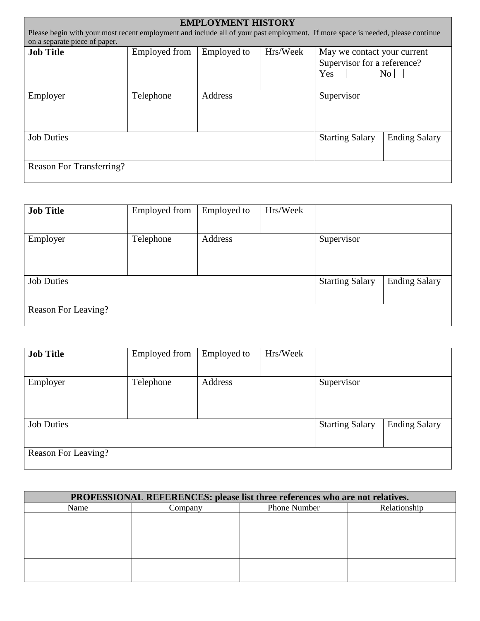| <b>EMPLOYMENT HISTORY</b>                                                                                                       |                      |                                                        |  |                                           |                      |  |
|---------------------------------------------------------------------------------------------------------------------------------|----------------------|--------------------------------------------------------|--|-------------------------------------------|----------------------|--|
| Please begin with your most recent employment and include all of your past employment. If more space is needed, please continue |                      |                                                        |  |                                           |                      |  |
| on a separate piece of paper.                                                                                                   |                      |                                                        |  |                                           |                      |  |
| <b>Job Title</b>                                                                                                                | <b>Employed from</b> | Hrs/Week<br>Employed to<br>May we contact your current |  |                                           |                      |  |
|                                                                                                                                 |                      |                                                        |  | Supervisor for a reference?<br>$Yes \mid$ | $\overline{N_{O}}$   |  |
|                                                                                                                                 |                      |                                                        |  |                                           |                      |  |
| Employer                                                                                                                        | Telephone            | Address                                                |  | Supervisor                                |                      |  |
| <b>Job Duties</b>                                                                                                               |                      |                                                        |  | <b>Starting Salary</b>                    | <b>Ending Salary</b> |  |
| Reason For Transferring?                                                                                                        |                      |                                                        |  |                                           |                      |  |

| <b>Job Title</b>    | <b>Employed from</b> | <b>Employed</b> to | Hrs/Week |                        |                      |
|---------------------|----------------------|--------------------|----------|------------------------|----------------------|
| Employer            | Telephone            | Address            |          | Supervisor             |                      |
| <b>Job Duties</b>   |                      |                    |          | <b>Starting Salary</b> | <b>Ending Salary</b> |
| Reason For Leaving? |                      |                    |          |                        |                      |

| <b>Job Title</b>    | Employed from | <b>Employed</b> to | Hrs/Week |                        |                      |
|---------------------|---------------|--------------------|----------|------------------------|----------------------|
| Employer            | Telephone     | Address            |          | Supervisor             |                      |
| <b>Job Duties</b>   |               |                    |          | <b>Starting Salary</b> | <b>Ending Salary</b> |
| Reason For Leaving? |               |                    |          |                        |                      |

| PROFESSIONAL REFERENCES: please list three references who are not relatives. |                                |  |              |  |  |  |
|------------------------------------------------------------------------------|--------------------------------|--|--------------|--|--|--|
| Name                                                                         | <b>Phone Number</b><br>Company |  | Relationship |  |  |  |
|                                                                              |                                |  |              |  |  |  |
|                                                                              |                                |  |              |  |  |  |
|                                                                              |                                |  |              |  |  |  |
|                                                                              |                                |  |              |  |  |  |
|                                                                              |                                |  |              |  |  |  |
|                                                                              |                                |  |              |  |  |  |